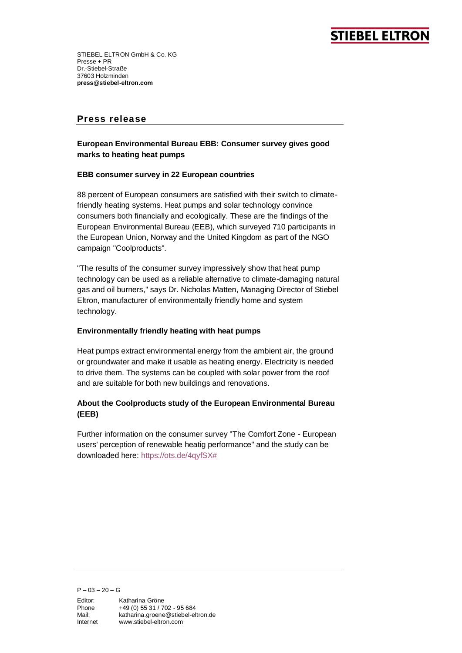# **STIEBEL ELTROI**

STIEBEL ELTRON GmbH & Co. KG Presse + PR Dr.-Stiebel-Straße 37603 Holzminden **press@stiebel-eltron.com**

## **Press release**

### **European Environmental Bureau EBB: Consumer survey gives good marks to heating heat pumps**

#### **EBB consumer survey in 22 European countries**

88 percent of European consumers are satisfied with their switch to climatefriendly heating systems. Heat pumps and solar technology convince consumers both financially and ecologically. These are the findings of the European Environmental Bureau (EEB), which surveyed 710 participants in the European Union, Norway and the United Kingdom as part of the NGO campaign "Coolproducts".

"The results of the consumer survey impressively show that heat pump technology can be used as a reliable alternative to climate-damaging natural gas and oil burners," says Dr. Nicholas Matten, Managing Director of Stiebel Eltron, manufacturer of environmentally friendly home and system technology.

#### **Environmentally friendly heating with heat pumps**

Heat pumps extract environmental energy from the ambient air, the ground or groundwater and make it usable as heating energy. Electricity is needed to drive them. The systems can be coupled with solar power from the roof and are suitable for both new buildings and renovations.

### **About the Coolproducts study of the European Environmental Bureau (EEB)**

Further information on the consumer survey "The Comfort Zone - European users' perception of renewable heatig performance" and the study can be downloaded here[: https://ots.de/4qyfSX#](https://ots.de/4qyfSX)

 $P - 03 - 20 - G$